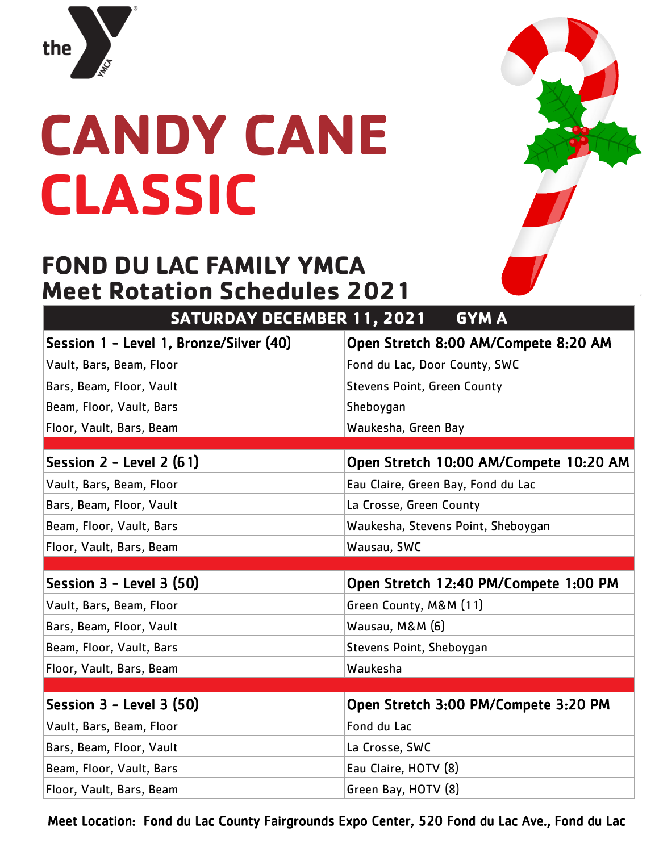

### **CANDY CANE CLASSIC**

#### **FOND DU LAC FAMILY YMCA Meet Rotation Schedules 2021**

| <b>SATURDAY DECEMBER 11, 2021</b><br><b>GYMA</b> |  |  |
|--------------------------------------------------|--|--|
| Open Stretch 8:00 AM/Compete 8:20 AM             |  |  |
| Fond du Lac, Door County, SWC                    |  |  |
| <b>Stevens Point, Green County</b>               |  |  |
| Sheboygan                                        |  |  |
| Waukesha, Green Bay                              |  |  |
|                                                  |  |  |
| Open Stretch 10:00 AM/Compete 10:20 AM           |  |  |
| Eau Claire, Green Bay, Fond du Lac               |  |  |
| La Crosse, Green County                          |  |  |
| Waukesha, Stevens Point, Sheboygan               |  |  |
| Wausau, SWC                                      |  |  |
|                                                  |  |  |
| Open Stretch 12:40 PM/Compete 1:00 PM            |  |  |
| Green County, M&M (11)                           |  |  |
| Wausau, M&M (6)                                  |  |  |
| Stevens Point, Sheboygan                         |  |  |
| Waukesha                                         |  |  |
|                                                  |  |  |
| Open Stretch 3:00 PM/Compete 3:20 PM             |  |  |
|                                                  |  |  |
| Fond du Lac                                      |  |  |
| La Crosse, SWC                                   |  |  |
| Eau Claire, HOTV (8)                             |  |  |
|                                                  |  |  |

Meet Location: Fond du Lac County Fairgrounds Expo Center, 520 Fond du Lac Ave., Fond du Lac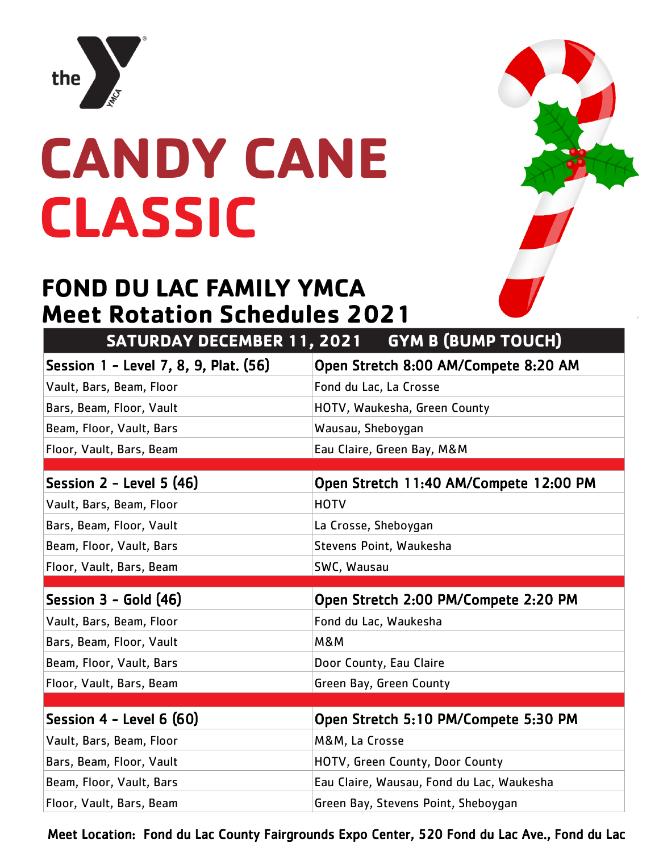

# **CANDY CANE CLASSIC**

#### **FOND DU LAC FAMILY YMCA Meet Rotation Schedules 2021**

| <b>SATURDAY DECEMBER 11, 2021</b>     | <b>GYM B (BUMP TOUCH)</b>                 |
|---------------------------------------|-------------------------------------------|
| Session 1 - Level 7, 8, 9, Plat. (56) | Open Stretch 8:00 AM/Compete 8:20 AM      |
| Vault, Bars, Beam, Floor              | Fond du Lac, La Crosse                    |
| Bars, Beam, Floor, Vault              | HOTV, Waukesha, Green County              |
| Beam, Floor, Vault, Bars              | Wausau, Sheboygan                         |
| Floor, Vault, Bars, Beam              | Eau Claire, Green Bay, M&M                |
|                                       |                                           |
| Session $2$ - Level 5 (46)            | Open Stretch 11:40 AM/Compete 12:00 PM    |
| Vault, Bars, Beam, Floor              | <b>HOTV</b>                               |
| Bars, Beam, Floor, Vault              | La Crosse, Sheboygan                      |
| Beam, Floor, Vault, Bars              | Stevens Point, Waukesha                   |
| Floor, Vault, Bars, Beam              | SWC, Wausau                               |
|                                       |                                           |
|                                       |                                           |
| Session $3 -$ Gold $(46)$             | Open Stretch 2:00 PM/Compete 2:20 PM      |
| Vault, Bars, Beam, Floor              | Fond du Lac, Waukesha                     |
| Bars, Beam, Floor, Vault              | <b>M&amp;M</b>                            |
| Beam, Floor, Vault, Bars              | Door County, Eau Claire                   |
| Floor, Vault, Bars, Beam              | Green Bay, Green County                   |
|                                       |                                           |
| Session $4$ - Level 6 $(60)$          | Open Stretch 5:10 PM/Compete 5:30 PM      |
| Vault, Bars, Beam, Floor              | M&M, La Crosse                            |
| Bars, Beam, Floor, Vault              | HOTV, Green County, Door County           |
| Beam, Floor, Vault, Bars              | Eau Claire, Wausau, Fond du Lac, Waukesha |

Meet Location: Fond du Lac County Fairgrounds Expo Center, 520 Fond du Lac Ave., Fond du Lac